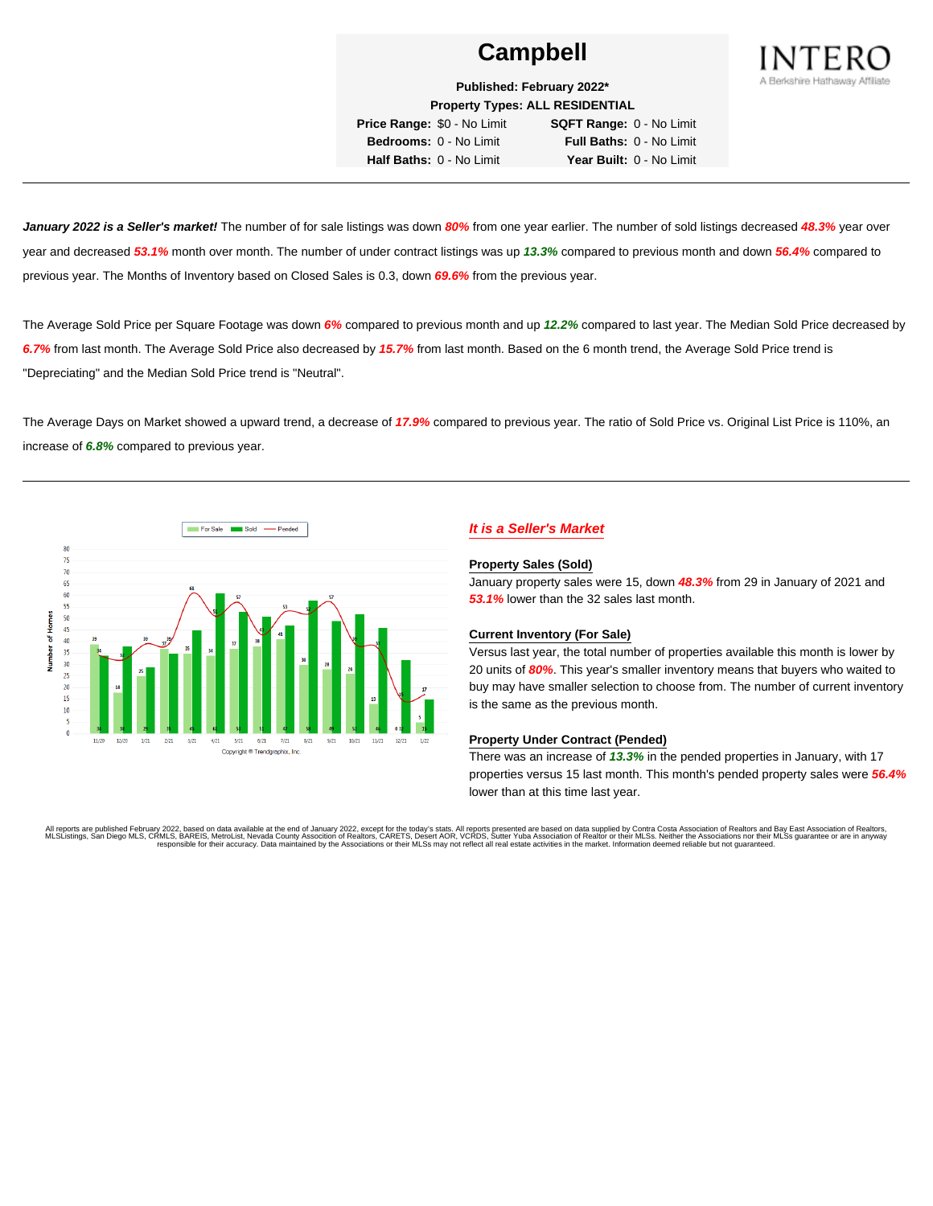

**Published: February 2022\***

**Price Range:** \$0 - No Limit **SQFT Range:** 0 - No Limit

**Property Types: ALL RESIDENTIAL Bedrooms:** 0 - No Limit **Full Baths:** 0 - No Limit **Half Baths:** 0 - No Limit **Year Built:** 0 - No Limit

**January 2022 is a Seller's market!** The number of for sale listings was down **80%** from one year earlier. The number of sold listings decreased **48.3%** year over year and decreased **53.1%** month over month. The number of under contract listings was up **13.3%** compared to previous month and down **56.4%** compared to previous year. The Months of Inventory based on Closed Sales is 0.3, down **69.6%** from the previous year.

The Average Sold Price per Square Footage was down **6%** compared to previous month and up **12.2%** compared to last year. The Median Sold Price decreased by **6.7%** from last month. The Average Sold Price also decreased by **15.7%** from last month. Based on the 6 month trend, the Average Sold Price trend is "Depreciating" and the Median Sold Price trend is "Neutral".

The Average Days on Market showed a upward trend, a decrease of **17.9%** compared to previous year. The ratio of Sold Price vs. Original List Price is 110%, an increase of **6.8%** compared to previous year.



## **It is a Seller's Market**

#### **Property Sales (Sold)**

January property sales were 15, down **48.3%** from 29 in January of 2021 and **53.1%** lower than the 32 sales last month.

### **Current Inventory (For Sale)**

Versus last year, the total number of properties available this month is lower by 20 units of **80%**. This year's smaller inventory means that buyers who waited to buy may have smaller selection to choose from. The number of current inventory is the same as the previous month.

#### **Property Under Contract (Pended)**

There was an increase of **13.3%** in the pended properties in January, with 17 properties versus 15 last month. This month's pended property sales were **56.4%** lower than at this time last year.

All reports are published February 2022, based on data available at the end of January 2022, except for the today's stats. All reports presented are based on data supplied by Contra Costa Association of Realtors and Bay Ea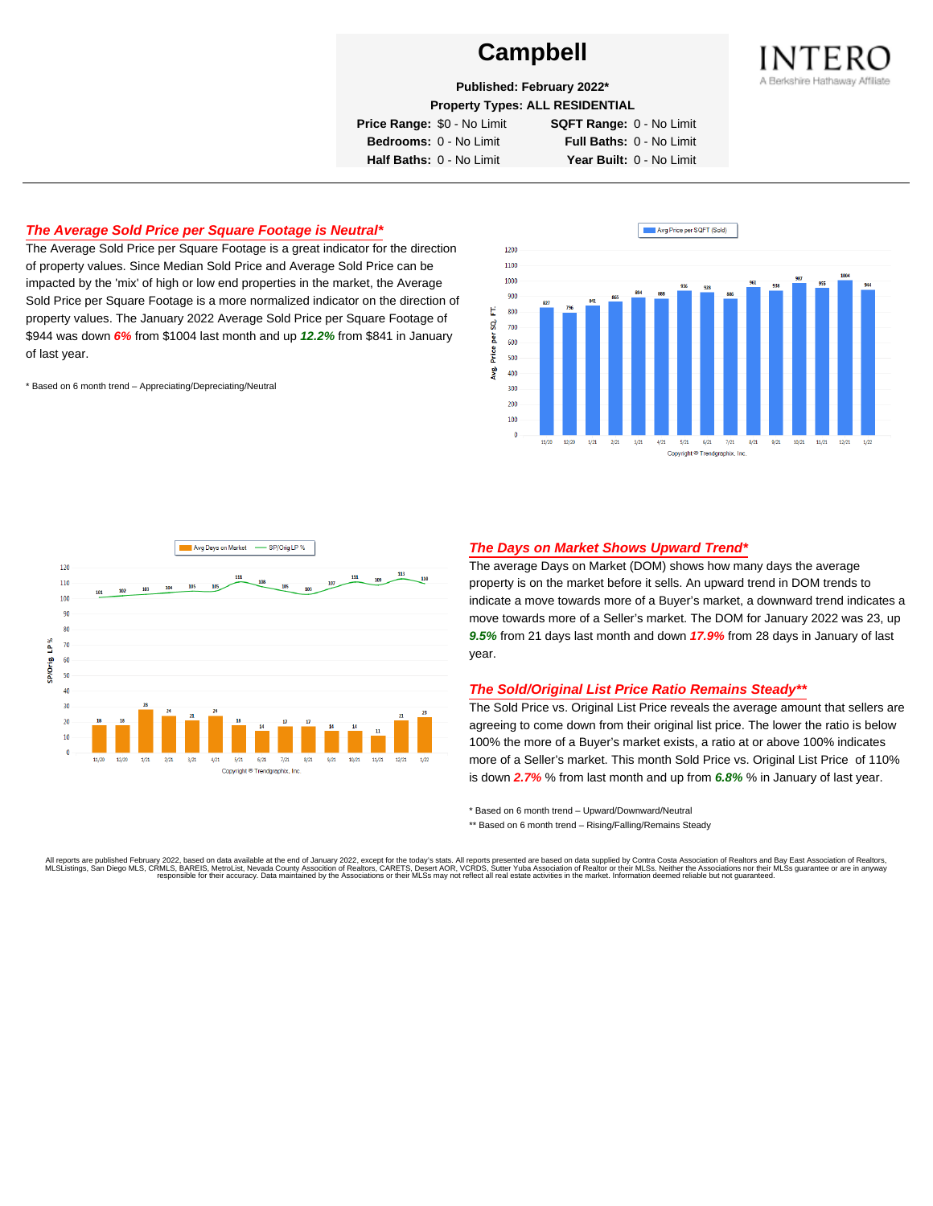

**Published: February 2022\***

**Property Types: ALL RESIDENTIAL**

**Price Range:** \$0 - No Limit **SQFT Range:** 0 - No Limit

**Bedrooms:** 0 - No Limit **Full Baths:** 0 - No Limit **Half Baths:** 0 - No Limit **Year Built:** 0 - No Limit

## **The Average Sold Price per Square Footage is Neutral\***

The Average Sold Price per Square Footage is a great indicator for the direction of property values. Since Median Sold Price and Average Sold Price can be impacted by the 'mix' of high or low end properties in the market, the Average Sold Price per Square Footage is a more normalized indicator on the direction of property values. The January 2022 Average Sold Price per Square Footage of \$944 was down **6%** from \$1004 last month and up **12.2%** from \$841 in January of last year.

\* Based on 6 month trend – Appreciating/Depreciating/Neutral





### **The Days on Market Shows Upward Trend\***

The average Days on Market (DOM) shows how many days the average property is on the market before it sells. An upward trend in DOM trends to indicate a move towards more of a Buyer's market, a downward trend indicates a move towards more of a Seller's market. The DOM for January 2022 was 23, up **9.5%** from 21 days last month and down **17.9%** from 28 days in January of last year.

#### **The Sold/Original List Price Ratio Remains Steady\*\***

The Sold Price vs. Original List Price reveals the average amount that sellers are agreeing to come down from their original list price. The lower the ratio is below 100% the more of a Buyer's market exists, a ratio at or above 100% indicates more of a Seller's market. This month Sold Price vs. Original List Price of 110% is down **2.7%** % from last month and up from **6.8%** % in January of last year.

\* Based on 6 month trend – Upward/Downward/Neutral

\*\* Based on 6 month trend - Rising/Falling/Remains Steady

All reports are published February 2022, based on data available at the end of January 2022, except for the today's stats. All reports presented are based on data supplied by Contra Costa Association of Realtors and Bay Ea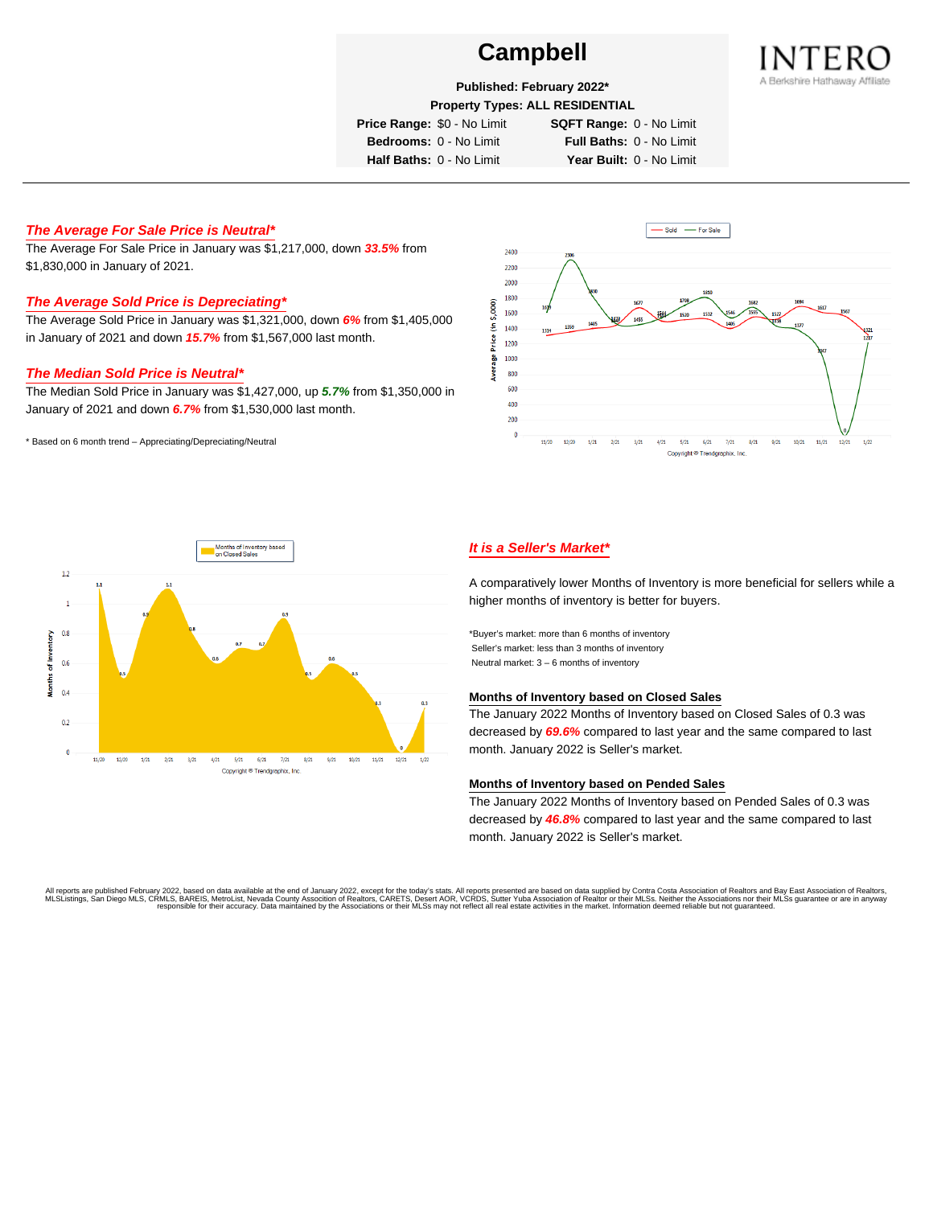

**Published: February 2022\***

**Property Types: ALL RESIDENTIAL**

**Price Range:** \$0 - No Limit **SQFT Range:** 0 - No Limit

**Bedrooms:** 0 - No Limit **Full Baths:** 0 - No Limit **Half Baths:** 0 - No Limit **Year Built:** 0 - No Limit

## **The Average For Sale Price is Neutral\***

The Average For Sale Price in January was \$1,217,000, down **33.5%** from \$1,830,000 in January of 2021.

## **The Average Sold Price is Depreciating\***

The Average Sold Price in January was \$1,321,000, down **6%** from \$1,405,000 in January of 2021 and down **15.7%** from \$1,567,000 last month.

### **The Median Sold Price is Neutral\***

The Median Sold Price in January was \$1,427,000, up **5.7%** from \$1,350,000 in January of 2021 and down **6.7%** from \$1,530,000 last month.

\* Based on 6 month trend – Appreciating/Depreciating/Neutral





### **It is a Seller's Market\***

A comparatively lower Months of Inventory is more beneficial for sellers while a higher months of inventory is better for buyers.

\*Buyer's market: more than 6 months of inventory Seller's market: less than 3 months of inventory Neutral market: 3 – 6 months of inventory

#### **Months of Inventory based on Closed Sales**

The January 2022 Months of Inventory based on Closed Sales of 0.3 was decreased by **69.6%** compared to last year and the same compared to last month. January 2022 is Seller's market.

#### **Months of Inventory based on Pended Sales**

The January 2022 Months of Inventory based on Pended Sales of 0.3 was decreased by **46.8%** compared to last year and the same compared to last month. January 2022 is Seller's market.

All reports are published February 2022, based on data available at the end of January 2022, except for the today's stats. All reports presented are based on data supplied by Contra Costa Association of Realtors, and beat responsible for their accuracy. Data maintained by the Associations or their MLSs may not reflect all real estate activities in the market. Information deemed reliable but not quaranteed